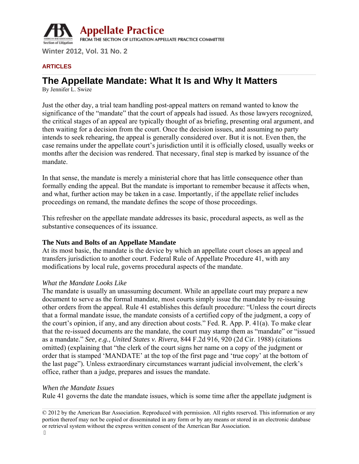

#### **ARTICLES**

# **The Appellate Mandate: What It Is and Why It Matters**

By Jennifer L. Swize

Just the other day, a trial team handling post-appeal matters on remand wanted to know the significance of the "mandate" that the court of appeals had issued. As those lawyers recognized, the critical stages of an appeal are typically thought of as briefing, presenting oral argument, and then waiting for a decision from the court. Once the decision issues, and assuming no party intends to seek rehearing, the appeal is generally considered over. But it is not. Even then, the case remains under the appellate court's jurisdiction until it is officially closed, usually weeks or months after the decision was rendered. That necessary, final step is marked by issuance of the mandate.

In that sense, the mandate is merely a ministerial chore that has little consequence other than formally ending the appeal. But the mandate is important to remember because it affects when, and what, further action may be taken in a case. Importantly, if the appellate relief includes proceedings on remand, the mandate defines the scope of those proceedings.

This refresher on the appellate mandate addresses its basic, procedural aspects, as well as the substantive consequences of its issuance.

# **The Nuts and Bolts of an Appellate Mandate**

At its most basic, the mandate is the device by which an appellate court closes an appeal and transfers jurisdiction to another court. Federal Rule of Appellate Procedure 41, with any modifications by local rule, governs procedural aspects of the mandate.

#### *What the Mandate Looks Like*

The mandate is usually an unassuming document. While an appellate court may prepare a new document to serve as the formal mandate, most courts simply issue the mandate by re-issuing other orders from the appeal. Rule 41 establishes this default procedure: "Unless the court directs that a formal mandate issue, the mandate consists of a certified copy of the judgment, a copy of the court's opinion, if any, and any direction about costs." Fed. R. App. P. 41(a). To make clear that the re-issued documents are the mandate, the court may stamp them as "mandate" or "issued as a mandate." *See, e.g.*, *United States v. Rivera*, 844 F.2d 916, 920 (2d Cir. 1988) (citations omitted) (explaining that "the clerk of the court signs her name on a copy of the judgment or order that is stamped 'MANDATE' at the top of the first page and 'true copy' at the bottom of the last page"). Unless extraordinary circumstances warrant judicial involvement, the clerk's office, rather than a judge, prepares and issues the mandate.

#### *When the Mandate Issues*

Rule 41 governs the date the mandate issues, which is some time after the appellate judgment is

© 2012 by the American Bar Association. Reproduced with permission. All rights reserved. This information or any portion thereof may not be copied or disseminated in any form or by any means or stored in an electronic database or retrieval system without the express written consent of the American Bar Association. ľ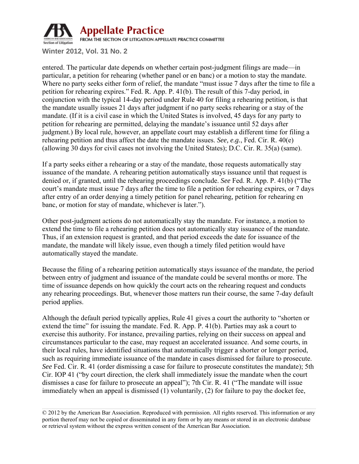

entered. The particular date depends on whether certain post-judgment filings are made—in particular, a petition for rehearing (whether panel or en banc) or a motion to stay the mandate. Where no party seeks either form of relief, the mandate "must issue 7 days after the time to file a petition for rehearing expires." Fed. R. App. P. 41(b). The result of this 7-day period, in conjunction with the typical 14-day period under Rule 40 for filing a rehearing petition, is that the mandate usually issues 21 days after judgment if no party seeks rehearing or a stay of the mandate. (If it is a civil case in which the United States is involved, 45 days for any party to petition for rehearing are permitted, delaying the mandate's issuance until 52 days after judgment.) By local rule, however, an appellate court may establish a different time for filing a rehearing petition and thus affect the date the mandate issues. *See, e.g.*, Fed. Cir. R. 40(e) (allowing 30 days for civil cases not involving the United States); D.C. Cir. R. 35(a) (same).

If a party seeks either a rehearing or a stay of the mandate, those requests automatically stay issuance of the mandate. A rehearing petition automatically stays issuance until that request is denied or, if granted, until the rehearing proceedings conclude. *See* Fed. R. App. P. 41(b) ("The court's mandate must issue 7 days after the time to file a petition for rehearing expires, or 7 days after entry of an order denying a timely petition for panel rehearing, petition for rehearing en banc, or motion for stay of mandate, whichever is later.").

Other post-judgment actions do not automatically stay the mandate. For instance, a motion to extend the time to file a rehearing petition does not automatically stay issuance of the mandate. Thus, if an extension request is granted, and that period exceeds the date for issuance of the mandate, the mandate will likely issue, even though a timely filed petition would have automatically stayed the mandate.

Because the filing of a rehearing petition automatically stays issuance of the mandate, the period between entry of judgment and issuance of the mandate could be several months or more. The time of issuance depends on how quickly the court acts on the rehearing request and conducts any rehearing proceedings. But, whenever those matters run their course, the same 7-day default period applies.

Although the default period typically applies, Rule 41 gives a court the authority to "shorten or extend the time" for issuing the mandate. Fed. R. App. P. 41(b). Parties may ask a court to exercise this authority. For instance, prevailing parties, relying on their success on appeal and circumstances particular to the case, may request an accelerated issuance. And some courts, in their local rules, have identified situations that automatically trigger a shorter or longer period, such as requiring immediate issuance of the mandate in cases dismissed for failure to prosecute. *See* Fed. Cir. R. 41 (order dismissing a case for failure to prosecute constitutes the mandate); 5th Cir. IOP 41 ("by court direction, the clerk shall immediately issue the mandate when the court dismisses a case for failure to prosecute an appeal"); 7th Cir. R. 41 ("The mandate will issue immediately when an appeal is dismissed (1) voluntarily, (2) for failure to pay the docket fee,

<sup>© 2012</sup> by the American Bar Association. Reproduced with permission. All rights reserved. This information or any portion thereof may not be copied or disseminated in any form or by any means or stored in an electronic database or retrieval system without the express written consent of the American Bar Association.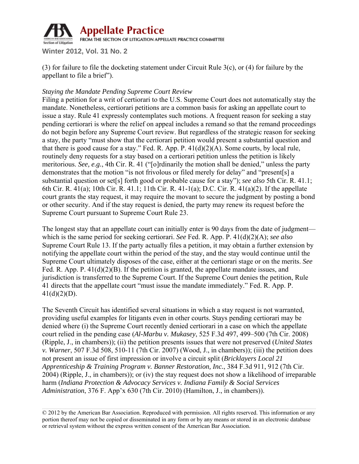

(3) for failure to file the docketing statement under Circuit Rule 3(c), or (4) for failure by the appellant to file a brief").

# *Staying the Mandate Pending Supreme Court Review*

Filing a petition for a writ of certiorari to the U.S. Supreme Court does not automatically stay the mandate. Nonetheless, certiorari petitions are a common basis for asking an appellate court to issue a stay. Rule 41 expressly contemplates such motions. A frequent reason for seeking a stay pending certiorari is where the relief on appeal includes a remand so that the remand proceedings do not begin before any Supreme Court review. But regardless of the strategic reason for seeking a stay, the party "must show that the certiorari petition would present a substantial question and that there is good cause for a stay." Fed. R. App. P.  $41(d)(2)(A)$ . Some courts, by local rule, routinely deny requests for a stay based on a certiorari petition unless the petition is likely meritorious. *See, e.g.*, 4th Cir. R. 41 ("[o]rdinarily the motion shall be denied," unless the party demonstrates that the motion "is not frivolous or filed merely for delay" and "present[s] a substantial question or set[s] forth good or probable cause for a stay"); *see also* 5th Cir. R. 41.1; 6th Cir. R. 41(a); 10th Cir. R. 41.1; 11th Cir. R. 41-1(a); D.C. Cir. R. 41(a)(2). If the appellate court grants the stay request, it may require the movant to secure the judgment by posting a bond or other security. And if the stay request is denied, the party may renew its request before the Supreme Court pursuant to Supreme Court Rule 23.

The longest stay that an appellate court can initially enter is 90 days from the date of judgment which is the same period for seeking certiorari. *See* Fed. R. App. P. 41(d)(2)(A); *see also* Supreme Court Rule 13. If the party actually files a petition, it may obtain a further extension by notifying the appellate court within the period of the stay, and the stay would continue until the Supreme Court ultimately disposes of the case, either at the certiorari stage or on the merits. *See* Fed. R. App. P.  $41(d)(2)(B)$ . If the petition is granted, the appellate mandate issues, and jurisdiction is transferred to the Supreme Court. If the Supreme Court denies the petition, Rule 41 directs that the appellate court "must issue the mandate immediately." Fed. R. App. P.  $41(d)(2)(D)$ .

The Seventh Circuit has identified several situations in which a stay request is not warranted, providing useful examples for litigants even in other courts. Stays pending certiorari may be denied where (i) the Supreme Court recently denied certiorari in a case on which the appellate court relied in the pending case (*Al-Marbu v. Mukasey*, 525 F.3d 497, 499–500 (7th Cir. 2008) (Ripple, J., in chambers)); (ii) the petition presents issues that were not preserved (*United States v. Warner*, 507 F.3d 508, 510-11 (7th Cir. 2007) (Wood, J., in chambers)); (iii) the petition does not present an issue of first impression or involve a circuit split (*Bricklayers Local 21 Apprenticeship & Training Program v. Banner Restoration, Inc.*, 384 F.3d 911, 912 (7th Cir. 2004) (Ripple, J., in chambers)); or (iv) the stay request does not show a likelihood of irreparable harm (*Indiana Protection & Advocacy Services v. Indiana Family & Social Services Administration*, 376 F. App'x 630 (7th Cir. 2010) (Hamilton, J., in chambers)).

<sup>© 2012</sup> by the American Bar Association. Reproduced with permission. All rights reserved. This information or any portion thereof may not be copied or disseminated in any form or by any means or stored in an electronic database or retrieval system without the express written consent of the American Bar Association.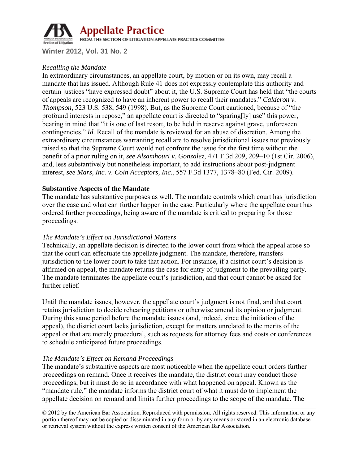

# *Recalling the Mandate*

In extraordinary circumstances, an appellate court, by motion or on its own, may recall a mandate that has issued. Although Rule 41 does not expressly contemplate this authority and certain justices "have expressed doubt" about it, the U.S. Supreme Court has held that "the courts of appeals are recognized to have an inherent power to recall their mandates." *Calderon v. Thompson*, 523 U.S. 538, 549 (1998). But, as the Supreme Court cautioned, because of "the profound interests in repose," an appellate court is directed to "sparing[ly] use" this power, bearing in mind that "it is one of last resort, to be held in reserve against grave, unforeseen contingencies." *Id.* Recall of the mandate is reviewed for an abuse of discretion. Among the extraordinary circumstances warranting recall are to resolve jurisdictional issues not previously raised so that the Supreme Court would not confront the issue for the first time without the benefit of a prior ruling on it, *see Alsamhouri v. Gonzalez*, 471 F.3d 209, 209–10 (1st Cir. 2006), and, less substantively but nonetheless important, to add instructions about post-judgment interest, *see Mars, Inc. v. Coin Acceptors, Inc.*, 557 F.3d 1377, 1378–80 (Fed. Cir. 2009).

# **Substantive Aspects of the Mandate**

The mandate has substantive purposes as well. The mandate controls which court has jurisdiction over the case and what can further happen in the case. Particularly where the appellate court has ordered further proceedings, being aware of the mandate is critical to preparing for those proceedings.

# *The Mandate's Effect on Jurisdictional Matters*

Technically, an appellate decision is directed to the lower court from which the appeal arose so that the court can effectuate the appellate judgment. The mandate, therefore, transfers jurisdiction to the lower court to take that action. For instance, if a district court's decision is affirmed on appeal, the mandate returns the case for entry of judgment to the prevailing party. The mandate terminates the appellate court's jurisdiction, and that court cannot be asked for further relief.

Until the mandate issues, however, the appellate court's judgment is not final, and that court retains jurisdiction to decide rehearing petitions or otherwise amend its opinion or judgment. During this same period before the mandate issues (and, indeed, since the initiation of the appeal), the district court lacks jurisdiction, except for matters unrelated to the merits of the appeal or that are merely procedural, such as requests for attorney fees and costs or conferences to schedule anticipated future proceedings.

# *The Mandate's Effect on Remand Proceedings*

The mandate's substantive aspects are most noticeable when the appellate court orders further proceedings on remand. Once it receives the mandate, the district court may conduct those proceedings, but it must do so in accordance with what happened on appeal. Known as the "mandate rule," the mandate informs the district court of what it must do to implement the appellate decision on remand and limits further proceedings to the scope of the mandate. The

© 2012 by the American Bar Association. Reproduced with permission. All rights reserved. This information or any portion thereof may not be copied or disseminated in any form or by any means or stored in an electronic database or retrieval system without the express written consent of the American Bar Association.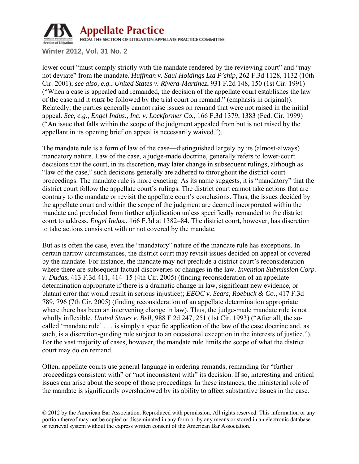

lower court "must comply strictly with the mandate rendered by the reviewing court" and "may" not deviate" from the mandate. *Huffman v. Saul Holdings Ltd P'ship*, 262 F.3d 1128, 1132 (10th Cir. 2001); *see also, e.g.*, *United States v. Rivera-Martinez*, 931 F.2d 148, 150 (1st Cir. 1991) ("When a case is appealed and remanded, the decision of the appellate court establishes the law of the case and it *must* be followed by the trial court on remand." (emphasis in original)). Relatedly, the parties generally cannot raise issues on remand that were not raised in the initial appeal. *See, e.g.*, *Engel Indus., Inc. v. Lockformer Co.*, 166 F.3d 1379, 1383 (Fed. Cir. 1999) ("An issue that falls within the scope of the judgment appealed from but is not raised by the appellant in its opening brief on appeal is necessarily waived.").

The mandate rule is a form of law of the case—distinguished largely by its (almost-always) mandatory nature. Law of the case, a judge-made doctrine, generally refers to lower-court decisions that the court, in its discretion, may later change in subsequent rulings, although as "law of the case," such decisions generally are adhered to throughout the district-court proceedings. The mandate rule is more exacting. As its name suggests, it is "mandatory" that the district court follow the appellate court's rulings. The district court cannot take actions that are contrary to the mandate or revisit the appellate court's conclusions. Thus, the issues decided by the appellate court and within the scope of the judgment are deemed incorporated within the mandate and precluded from further adjudication unless specifically remanded to the district court to address. *Engel Indus.*, 166 F.3d at 1382–84. The district court, however, has discretion to take actions consistent with or not covered by the mandate.

But as is often the case, even the "mandatory" nature of the mandate rule has exceptions. In certain narrow circumstances, the district court may revisit issues decided on appeal or covered by the mandate. For instance, the mandate may not preclude a district court's reconsideration where there are subsequent factual discoveries or changes in the law. *Invention Submission Corp. v. Dudas*, 413 F.3d 411, 414–15 (4th Cir. 2005) (finding reconsideration of an appellate determination appropriate if there is a dramatic change in law, significant new evidence, or blatant error that would result in serious injustice); *EEOC v. Sears, Roebuck & Co.*, 417 F.3d 789, 796 (7th Cir. 2005) (finding reconsideration of an appellate determination appropriate where there has been an intervening change in law). Thus, the judge-made mandate rule is not wholly inflexible. *United States v. Bell*, 988 F.2d 247, 251 (1st Cir. 1993) ("After all, the socalled 'mandate rule' . . . is simply a specific application of the law of the case doctrine and, as such, is a discretion-guiding rule subject to an occasional exception in the interests of justice."). For the vast majority of cases, however, the mandate rule limits the scope of what the district court may do on remand.

Often, appellate courts use general language in ordering remands, remanding for "further proceedings consistent with" or "not inconsistent with" its decision. If so, interesting and critical issues can arise about the scope of those proceedings. In these instances, the ministerial role of the mandate is significantly overshadowed by its ability to affect substantive issues in the case.

© 2012 by the American Bar Association. Reproduced with permission. All rights reserved. This information or any portion thereof may not be copied or disseminated in any form or by any means or stored in an electronic database or retrieval system without the express written consent of the American Bar Association.